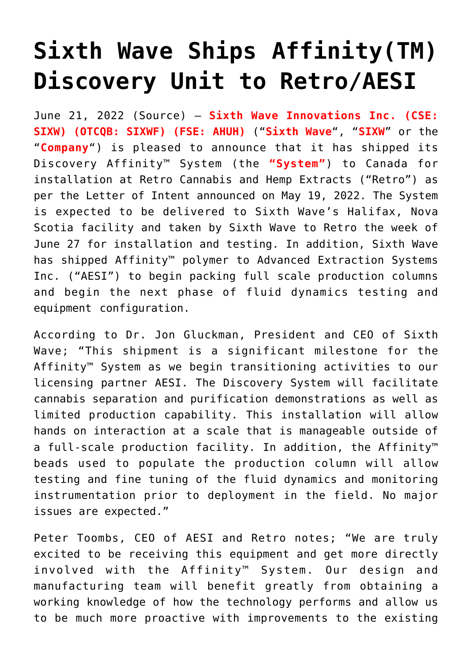## **[Sixth Wave Ships Affinity\(TM\)](https://investorintel.com/markets/biotech-healthcare/biotech-news/sixth-wave-ships-affinitytm-discovery-unit-to-retro-aesi/) [Discovery Unit to Retro/AESI](https://investorintel.com/markets/biotech-healthcare/biotech-news/sixth-wave-ships-affinitytm-discovery-unit-to-retro-aesi/)**

June 21, 2022 ([Source](https://www.newsfilecorp.com/release/128453/Sixth-Wave-Ships-AffinityTM-Discovery-Unit-to-RetroAESI)) – **Sixth Wave Innovations Inc. (CSE: SIXW) (OTCQB: SIXWF) (FSE: AHUH)** ("**Sixth Wave**", "**SIXW**" or the "**Company**") is pleased to announce that it has shipped its Discovery Affinity™ System (the **"System"**) to Canada for installation at Retro Cannabis and Hemp Extracts ("Retro") as per the Letter of Intent announced on May 19, 2022. The System is expected to be delivered to Sixth Wave's Halifax, Nova Scotia facility and taken by Sixth Wave to Retro the week of June 27 for installation and testing. In addition, Sixth Wave has shipped Affinity™ polymer to Advanced Extraction Systems Inc. ("AESI") to begin packing full scale production columns and begin the next phase of fluid dynamics testing and equipment configuration.

According to Dr. Jon Gluckman, President and CEO of Sixth Wave; "This shipment is a significant milestone for the Affinity™ System as we begin transitioning activities to our licensing partner AESI. The Discovery System will facilitate cannabis separation and purification demonstrations as well as limited production capability. This installation will allow hands on interaction at a scale that is manageable outside of a full-scale production facility. In addition, the Affinity™ beads used to populate the production column will allow testing and fine tuning of the fluid dynamics and monitoring instrumentation prior to deployment in the field. No major issues are expected."

Peter Toombs, CEO of AESI and Retro notes; "We are truly excited to be receiving this equipment and get more directly involved with the Affinity™ System. Our design and manufacturing team will benefit greatly from obtaining a working knowledge of how the technology performs and allow us to be much more proactive with improvements to the existing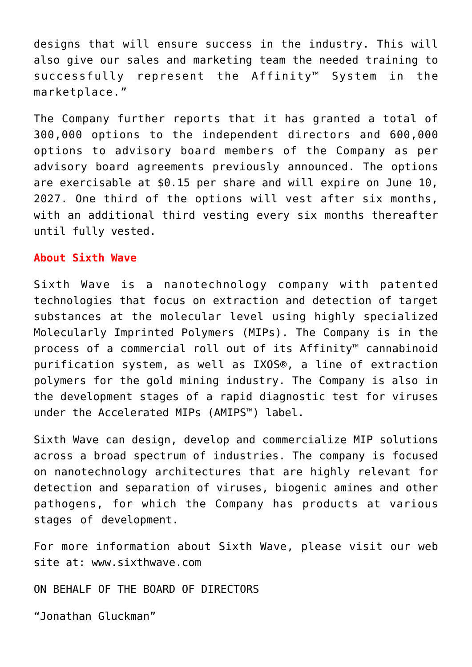designs that will ensure success in the industry. This will also give our sales and marketing team the needed training to successfully represent the Affinity™ System in the marketplace."

The Company further reports that it has granted a total of 300,000 options to the independent directors and 600,000 options to advisory board members of the Company as per advisory board agreements previously announced. The options are exercisable at \$0.15 per share and will expire on June 10, 2027. One third of the options will vest after six months, with an additional third vesting every six months thereafter until fully vested.

## **About Sixth Wave**

Sixth Wave is a nanotechnology company with patented technologies that focus on extraction and detection of target substances at the molecular level using highly specialized Molecularly Imprinted Polymers (MIPs). The Company is in the process of a commercial roll out of its Affinity™ cannabinoid purification system, as well as IXOS®, a line of extraction polymers for the gold mining industry. The Company is also in the development stages of a rapid diagnostic test for viruses under the Accelerated MIPs (AMIPS™) label.

Sixth Wave can design, develop and commercialize MIP solutions across a broad spectrum of industries. The company is focused on nanotechnology architectures that are highly relevant for detection and separation of viruses, biogenic amines and other pathogens, for which the Company has products at various stages of development.

For more information about Sixth Wave, please visit our web site at: www.sixthwave.com

ON BEHALF OF THE BOARD OF DIRECTORS

"Jonathan Gluckman"